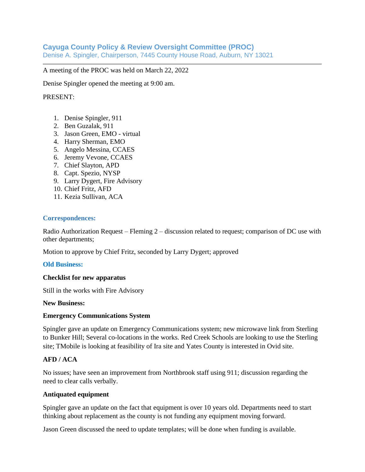# **Cayuga County Policy & Review Oversight Committee (PROC)**

Denise A. Spingler, Chairperson, 7445 County House Road, Auburn, NY 13021

A meeting of the PROC was held on March 22, 2022

Denise Spingler opened the meeting at 9:00 am.

### PRESENT:

- 1. Denise Spingler, 911
- 2. Ben Guzalak, 911
- 3. Jason Green, EMO virtual
- 4. Harry Sherman, EMO
- 5. Angelo Messina, CCAES
- 6. Jeremy Vevone, CCAES
- 7. Chief Slayton, APD
- 8. Capt. Spezio, NYSP
- 9. Larry Dygert, Fire Advisory
- 10. Chief Fritz, AFD
- 11. Kezia Sullivan, ACA

#### **Correspondences:**

Radio Authorization Request – Fleming  $2$  – discussion related to request; comparison of DC use with other departments;

Motion to approve by Chief Fritz, seconded by Larry Dygert; approved

#### **Old Business:**

#### **Checklist for new apparatus**

Still in the works with Fire Advisory

**New Business:** 

#### **Emergency Communications System**

Spingler gave an update on Emergency Communications system; new microwave link from Sterling to Bunker Hill; Several co-locations in the works. Red Creek Schools are looking to use the Sterling site; TMobile is looking at feasibility of Ira site and Yates County is interested in Ovid site.

## **AFD / ACA**

No issues; have seen an improvement from Northbrook staff using 911; discussion regarding the need to clear calls verbally.

#### **Antiquated equipment**

Spingler gave an update on the fact that equipment is over 10 years old. Departments need to start thinking about replacement as the county is not funding any equipment moving forward.

Jason Green discussed the need to update templates; will be done when funding is available.